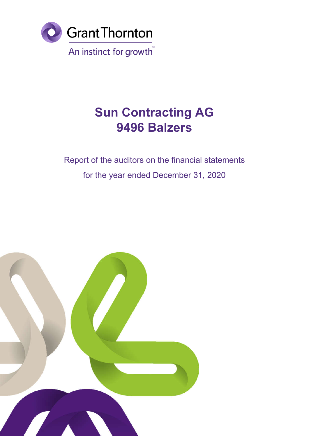

# Report of the auditors on the financial statements for the year ended December 31, 2020

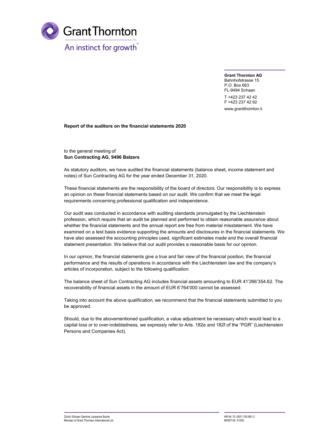

Grant Thornton AG Bahnhofstrasse 15 P.O. Box 663 FL-9494 Schaan T +423 237 42 42 F +423 237 42 92 www.grantthornton.li

Report of the auditors on the financial statements 2020

to the general meeting of Sun Contracting AG, 9496 Balzers

As statutory auditors, we have audited the financial statements (balance sheet, income statement and notes) of Sun Contracting AG for the year ended December 31, 2020.

These financial statements are the responsibility of the board of directors. Our responsibility is to express an opinion on these financial statements based on our audit. We confirm that we meet the legal requirements concerning professional qualification and independence.

Our audit was conducted in accordance with auditing standards promulgated by the Liechtenstein profession, which require that an audit be planned and performed to obtain reasonable assurance about whether the financial statements and the annual report are free from material misstatement. We have examined on a test basis evidence supporting the amounts and disclosures in the financial statements. We have also assessed the accounting principles used, significant estimates made and the overall financial statement presentation. We believe that our audit provides a reasonable basis for our opinion.

In our opinion, the financial statements give a true and fair view of the financial position, the financial performance and the results of operations in accordance with the Liechtenstein law and the company's articles of incorporation, subject to the following qualification:

The balance sheet of Sun Contracting AG includes financial assets amounting to EUR 41'266'354.62. The recoverability of financial assets in the amount of EUR 6'764'000 cannot be assessed.

Taking into account the above qualification, we recommend that the financial statements submitted to you be approved.

Should, due to the abovementioned qualification, a value adjustment be necessary which would lead to a capital loss or to over-indebtedness, we expressly refer to Arts. 182e and 182f of the "PGR" (Liechtenstein Persons and Companies Act).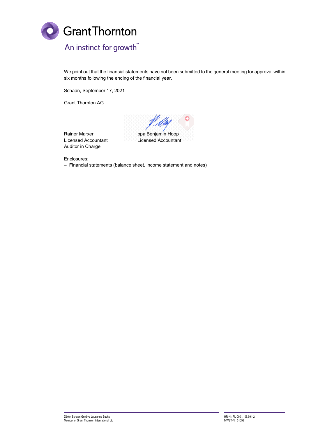

We point out that the financial statements have not been submitted to the general meeting for approval within six months following the ending of the financial year.

Schaan, September 17, 2021

Grant Thornton AG

 $\mathscr{A}$ ppa Benjamin Hoop

Rainer Marxer Licensed Accountant Auditor in Charge

Licensed Accountant

Enclosures:

– Financial statements (balance sheet, income statement and notes)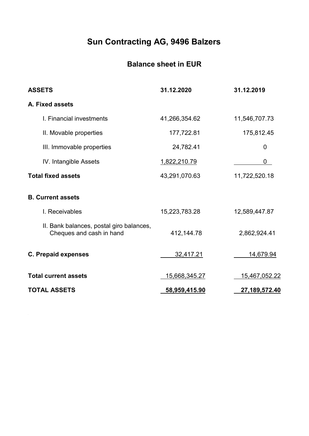# Balance sheet in EUR

| <b>ASSETS</b>                                                        | 31.12.2020           | 31.12.2019           |
|----------------------------------------------------------------------|----------------------|----------------------|
| A. Fixed assets                                                      |                      |                      |
| I. Financial investments                                             | 41,266,354.62        | 11,546,707.73        |
| II. Movable properties                                               | 177,722.81           | 175,812.45           |
| III. Immovable properties                                            | 24,782.41            | 0                    |
| IV. Intangible Assets                                                | 1,822,210.79         | 0                    |
| <b>Total fixed assets</b>                                            | 43,291,070.63        | 11,722,520.18        |
| <b>B. Current assets</b>                                             |                      |                      |
| I. Receivables                                                       | 15,223,783.28        | 12,589,447.87        |
| II. Bank balances, postal giro balances,<br>Cheques and cash in hand | 412,144.78           | 2,862,924.41         |
| <b>C. Prepaid expenses</b>                                           | 32,417.21            | 14,679.94            |
| <b>Total current assets</b>                                          | <u>15,668,345.27</u> | <u>15,467,052.22</u> |
| <b>TOTAL ASSETS</b>                                                  | 58,959,415.90        | 27,189,572.40        |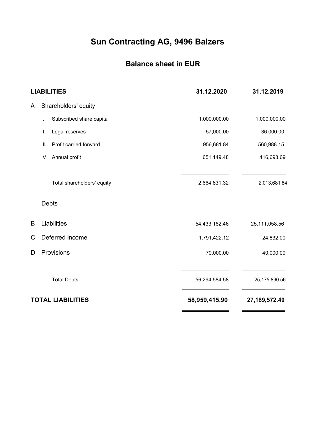# Balance sheet in EUR

|   | <b>LIABILITIES</b>             | 31.12.2020    | 31.12.2019    |
|---|--------------------------------|---------------|---------------|
| A | Shareholders' equity           |               |               |
|   | Subscribed share capital<br>I. | 1,000,000.00  | 1,000,000.00  |
|   | Ш.<br>Legal reserves           | 57,000.00     | 36,000.00     |
|   | Profit carried forward<br>III. | 956,681.84    | 560,988.15    |
|   | IV. Annual profit              | 651,149.48    | 416,693.69    |
|   | Total shareholders' equity     | 2,664,831.32  | 2,013,681.84  |
|   | <b>Debts</b>                   |               |               |
| B | Liabilities                    | 54,433,162.46 | 25,111,058.56 |
| C | Deferred income                | 1,791,422.12  | 24,832.00     |
| D | Provisions                     | 70,000.00     | 40,000.00     |
|   | <b>Total Debts</b>             | 56,294,584.58 | 25,175,890.56 |
|   | <b>TOTAL LIABILITIES</b>       | 58,959,415.90 | 27,189,572.40 |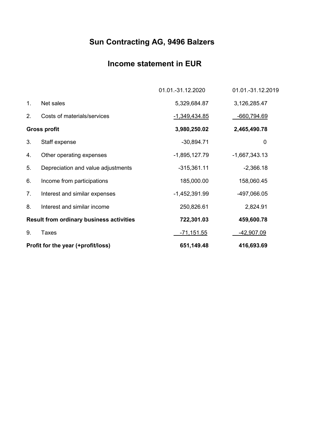# Income statement in EUR

|    |                                                 | 01.01.-31.12.2020 | 01.01.-31.12.2019 |
|----|-------------------------------------------------|-------------------|-------------------|
| 1. | Net sales                                       | 5,329,684.87      | 3,126,285.47      |
| 2. | Costs of materials/services                     | $-1,349,434.85$   | $-660,794.69$     |
|    | <b>Gross profit</b>                             | 3,980,250.02      | 2,465,490.78      |
| 3. | Staff expense                                   | $-30,894.71$      | $\mathbf 0$       |
| 4. | Other operating expenses                        | $-1,895,127.79$   | $-1,667,343.13$   |
| 5. | Depreciation and value adjustments              | $-315,361.11$     | $-2,366.18$       |
| 6. | Income from participations                      | 185,000.00        | 158,060.45        |
| 7. | Interest and similar expenses                   | $-1,452,391.99$   | -497,066.05       |
| 8. | Interest and similar income                     | 250,826.61        | 2,824.91          |
|    | <b>Result from ordinary business activities</b> | 722,301.03        | 459,600.78        |
| 9. | Taxes                                           | <u>-71,151.55</u> | -42,907.09        |
|    | Profit for the year (+profit/loss)              | 651,149.48        | 416,693.69        |